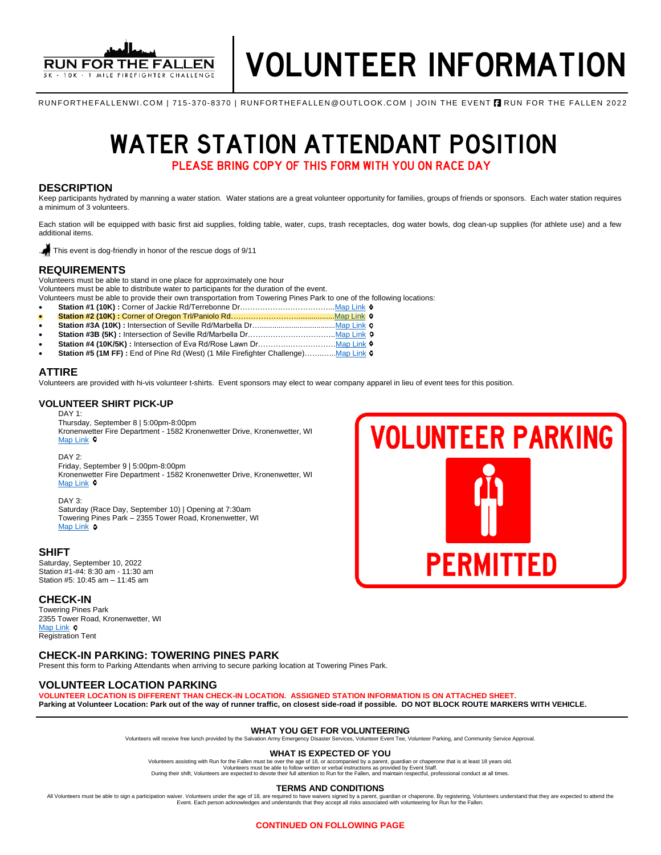

RUNFORTHEFALLENWI.COM | 715-370-8370 | RUNFORTHEFALLEN@OUTLOOK.COM | JOIN THE EVENT **A** RUN FOR THE FALLEN 2022

# WATER STATION ATTENDANT POSITION

PLEASE BRING COPY OF THIS FORM WITH YOU ON RACE DAY

### **DESCRIPTION**

Keep participants hydrated by manning a water station. Water stations are a great volunteer opportunity for families, groups of friends or sponsors. Each water station requires a minimum of 3 volunteers.

Each station will be equipped with basic first aid supplies, folding table, water, cups, trash receptacles, dog water bowls, dog clean-up supplies (for athlete use) and a few additional items.

. This event is dog-friendly in honor of the rescue dogs of 9/11

### **REQUIREMENTS**

Volunteers must be able to stand in one place for approximately one hour

Volunteers must be able to distribute water to participants for the duration of the event.

Volunteers must be able to provide their own transportation from Towering Pines Park to one of the following locations:

- **Station #1 (10K) :** Corner of Jackie Rd/Terrebonne Dr………………………………[..Map Link](https://www.google.com/maps/place/Jackie+Rd+%26+Terrebonne+Dr,+Kronenwetter,+WI+54455/@44.8407356,-89.6264231,17z/data=!3m1!4b1!4m5!3m4!1s0x88003b57f433b6b9:0xed6a6a1f801fee07!8m2!3d44.8407356!4d-89.6242344) • **Station #2 (10K) :** Corner of Oregon Trl/Paniolo Rd………………………................[.Map Link](https://www.google.com/maps/place/Paniolo+Rd+%26+Oregon+Trail,+Kronenwetter,+WI+54455/@44.8414569,-89.604856,17z/data=!3m1!4b1!4m5!3m4!1s0x88003b3741a21b65:0xb09539d29febde3e!8m2!3d44.8414569!4d-89.6026673)
- **Station #3A (10K) :** Intersection of Seville Rd/Marbella Dr…..................................[..Map Link](https://www.google.com/maps/place/Marbella+Dr+%26+Seville+Rd,+Kronenwetter,+WI+54455/@44.8480995,-89.6144026,17z/data=!3m1!4b1!4m5!3m4!1s0x88003b4c8d4d4e91:0x7c292f1f8d404e6!8m2!3d44.8480995!4d-89.6122139)
- Station #3B (5K) : Intersection of Seville Rd/Marbella Dr……………………………… Map Link 0
- **Station #4 (10K/5K) :** Intersection of Eva Rd/Rose Lawn Dr………….……………[…Map Link](https://www.google.com/maps/search/Eva+Rd%2FRose+Lawn+Dr/@44.8565764,-89.6213298,17z/data=!3m1!4b1)
- Station #5 (1M FF) : End of Pine Rd (West) (1 Mile Firefighter Challenge).............. Map Link o

### **ATTIRE**

Volunteers are provided with hi-vis volunteer t-shirts. Event sponsors may elect to wear company apparel in lieu of event tees for this position.

### **VOLUNTEER SHIRT PICK-UP**

DAY 1:

Thursday, September 8 | 5:00pm-8:00pm Kronenwetter Fire Department - 1582 Kronenwetter Drive, Kronenwetter, WI [Map Link](https://www.google.com/maps/place/Kronenwetter+Municipal+Center/@44.8248446,-89.660818,19.47z/data=!4m13!1m7!3m6!1s0x88003ce3aeb11027:0x20ef4eee6649e333!2s1582+I-39+Frontage+Rd,+Mosinee,+WI+54455!3b1!8m2!3d44.824627!4d-89.660117!3m4!1s0x88003ce24bdc74cf:0x8af0c32b7425fe48!8m2!3d44.8246764!4d-89.6603861) <sup>o</sup>

DAY 2.

Friday, September 9 | 5:00pm-8:00pm Kronenwetter Fire Department - 1582 Kronenwetter Drive, Kronenwetter, WI [Map Link](https://www.google.com/maps/place/Kronenwetter+Municipal+Center/@44.8248446,-89.660818,19.47z/data=!4m13!1m7!3m6!1s0x88003ce3aeb11027:0x20ef4eee6649e333!2s1582+I-39+Frontage+Rd,+Mosinee,+WI+54455!3b1!8m2!3d44.824627!4d-89.660117!3m4!1s0x88003ce24bdc74cf:0x8af0c32b7425fe48!8m2!3d44.8246764!4d-89.6603861) <sup>Q</sup>

DAY 3:

Saturday (Race Day, September 10) | Opening at 7:30am Towering Pines Park – 2355 Tower Road, Kronenwetter, WI [Map Link](https://www.google.com/maps/place/Towering+Pines+Park,+2355+Tower+Rd,+Kronenwetter,+WI+54455/@44.8528983,-89.6321363,17z/data=!3m1!4b1!4m5!3m4!1s0x880023538874f34f:0xd3c0bf75b1048a81!8m2!3d44.8531686!4d-89.6301666) **o** 

### **SHIFT**

Saturday, September 10, 2022 Station #1-#4: 8:30 am - 11:30 am Station #5: 10:45 am – 11:45 am

### **CHECK-IN**

Towering Pines Park 2355 Tower Road, Kronenwetter, WI [Map Link](https://www.google.com/maps/place/Towering+Pines+Park,+2355+Tower+Rd,+Kronenwetter,+WI+54455/@44.8528983,-89.6321363,17z/data=!3m1!4b1!4m5!3m4!1s0x880023538874f34f:0xd3c0bf75b1048a81!8m2!3d44.8531686!4d-89.6301666)  $\circ$ Registration Tent

### **CHECK-IN PARKING: TOWERING PINES PARK**

Present this form to Parking Attendants when arriving to secure parking location at Towering Pines Park.

### **VOLUNTEER LOCATION PARKING**

**VOLUNTEER LOCATION IS DIFFERENT THAN CHECK-IN LOCATION. ASSIGNED STATION INFORMATION IS ON ATTACHED SHEET.** 

**Parking at Volunteer Location: Park out of the way of runner traffic, on closest side-road if possible. DO NOT BLOCK ROUTE MARKERS WITH VEHICLE.** 

### **WHAT YOU GET FOR VOLUNTEERING**

Volunteers will receive free lunch provided by the Salvation Army Emergency Disaster Services, Volunteer Event Tee, Volunteer Parking, and Community Service Approval.

### **WHAT IS EXPECTED OF YOU**

Volunteers assisting with Run for the Fallen must be over the age of 18, or accompanied by a parent, guardian or chaperone that is at least 18 years old.<br>Volunteers must be able to follow written or verbal instructions as

#### **TERMS AND CONDITIONS**

All Volunteers must be able to sign a participation waiver. Volunteers under the age of 18, are required to have waivers signed by a parent, guardian or chaperone. By registering, Volunteers understand that they are expect